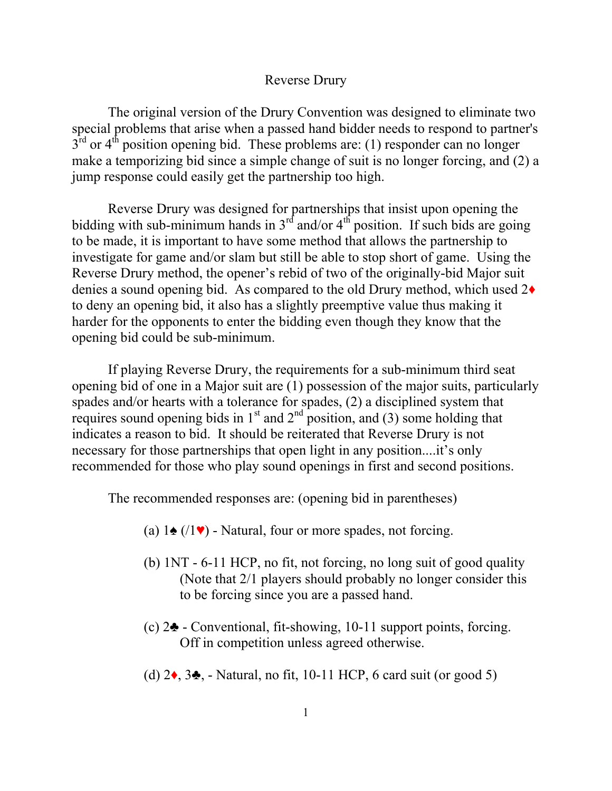## Reverse Drury

The original version of the Drury Convention was designed to eliminate two special problems that arise when a passed hand bidder needs to respond to partner's  $3<sup>rd</sup>$  or  $4<sup>th</sup>$  position opening bid. These problems are: (1) responder can no longer make a temporizing bid since a simple change of suit is no longer forcing, and (2) a jump response could easily get the partnership too high.

Reverse Drury was designed for partnerships that insist upon opening the bidding with sub-minimum hands in  $3<sup>rd</sup>$  and/or  $4<sup>th</sup>$  position. If such bids are going to be made, it is important to have some method that allows the partnership to investigate for game and/or slam but still be able to stop short of game. Using the Reverse Drury method, the opener's rebid of two of the originally-bid Major suit denies a sound opening bid. As compared to the old Drury method, which used 2♦ to deny an opening bid, it also has a slightly preemptive value thus making it harder for the opponents to enter the bidding even though they know that the opening bid could be sub-minimum.

If playing Reverse Drury, the requirements for a sub-minimum third seat opening bid of one in a Major suit are (1) possession of the major suits, particularly spades and/or hearts with a tolerance for spades, (2) a disciplined system that requires sound opening bids in  $1<sup>st</sup>$  and  $2<sup>nd</sup>$  position, and (3) some holding that indicates a reason to bid. It should be reiterated that Reverse Drury is not necessary for those partnerships that open light in any position....it's only recommended for those who play sound openings in first and second positions.

The recommended responses are: (opening bid in parentheses)

- (a)  $1\spadesuit$  (/1 $\blacktriangledown$ ) Natural, four or more spades, not forcing.
- (b) 1NT 6-11 HCP, no fit, not forcing, no long suit of good quality (Note that 2/1 players should probably no longer consider this to be forcing since you are a passed hand.
- (c) 2♣ Conventional, fit-showing, 10-11 support points, forcing. Off in competition unless agreed otherwise.
- (d)  $2\bullet$ ,  $3\bullet$ , Natural, no fit, 10-11 HCP, 6 card suit (or good 5)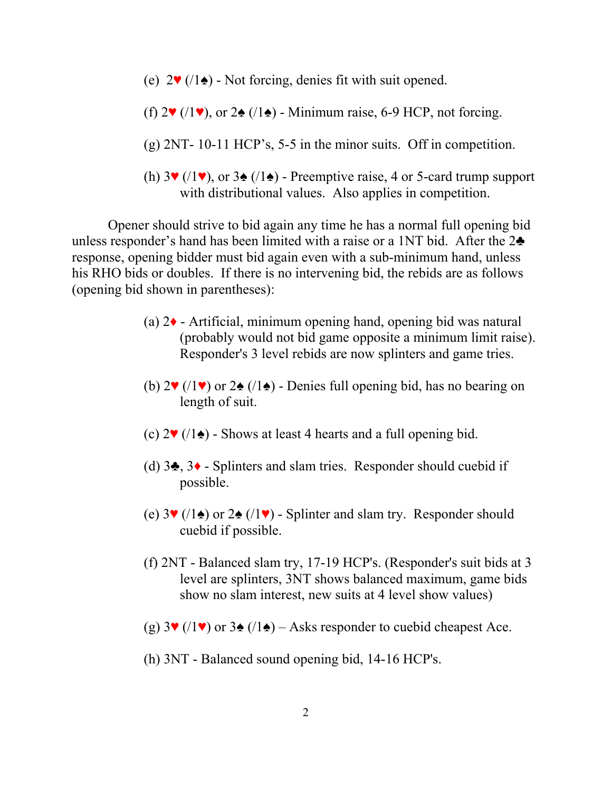- (e)  $2\Psi$  (/1 $\triangle$ ) Not forcing, denies fit with suit opened.
- (f)  $2\Psi$  (/1 $\Psi$ ), or  $2\Phi$  (/1 $\Phi$ ) Minimum raise, 6-9 HCP, not forcing.
- $(g)$  2NT- 10-11 HCP's, 5-5 in the minor suits. Off in competition.
- (h)  $3\Psi$  (/1 $\Psi$ ), or  $3\triangleq$  (/1 $\triangleq$ ) Preemptive raise, 4 or 5-card trump support with distributional values. Also applies in competition.

Opener should strive to bid again any time he has a normal full opening bid unless responder's hand has been limited with a raise or a 1NT bid. After the  $2\clubsuit$ response, opening bidder must bid again even with a sub-minimum hand, unless his RHO bids or doubles. If there is no intervening bid, the rebids are as follows (opening bid shown in parentheses):

- (a) 2♦ Artificial, minimum opening hand, opening bid was natural (probably would not bid game opposite a minimum limit raise). Responder's 3 level rebids are now splinters and game tries.
- (b)  $2\Psi$  (/1 $\Psi$ ) or  $2\Phi$  (/1 $\Phi$ ) Denies full opening bid, has no bearing on length of suit.
- (c)  $2\Psi$  (/1 $\triangle$ ) Shows at least 4 hearts and a full opening bid.
- (d)  $3\clubsuit$ ,  $3\spadesuit$  Splinters and slam tries. Responder should cuebid if possible.
- (e)  $3\Psi$  (/1 $\bullet$ ) or  $2\bullet$  (/1 $\Psi$ ) Splinter and slam try. Responder should cuebid if possible.
- (f) 2NT Balanced slam try, 17-19 HCP's. (Responder's suit bids at 3 level are splinters, 3NT shows balanced maximum, game bids show no slam interest, new suits at 4 level show values)
- (g)  $3\Psi$  (/1 $\Psi$ ) or  $3\Phi$  (/1 $\Phi$ ) Asks responder to cuebid cheapest Ace.
- (h) 3NT Balanced sound opening bid, 14-16 HCP's.